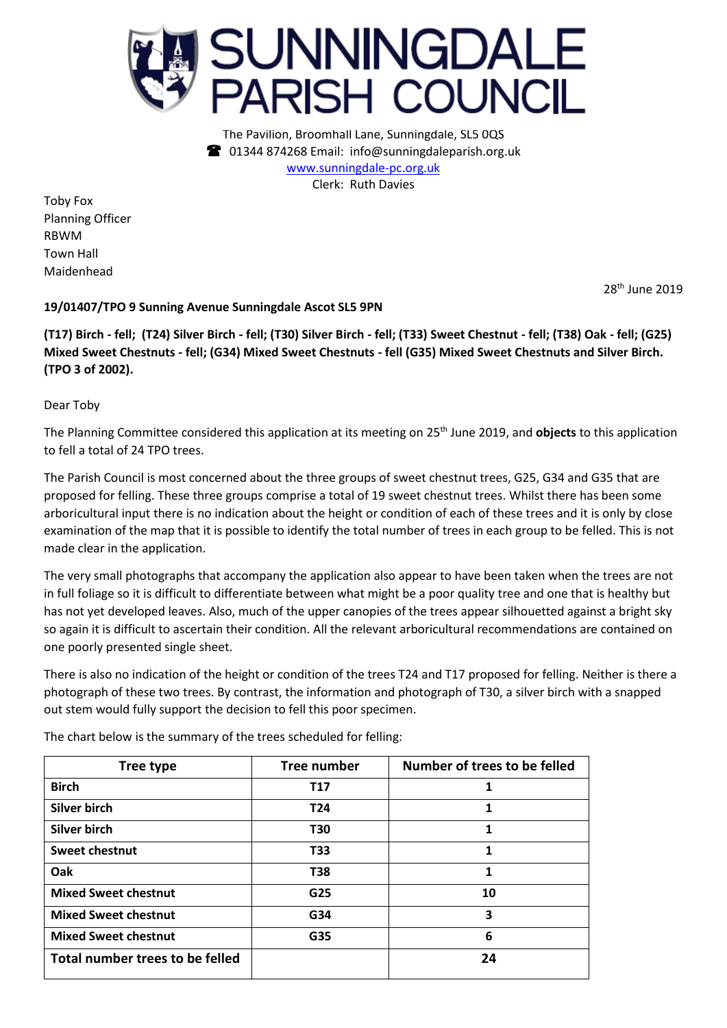

The Pavilion, Broomhall Lane, Sunningdale, SL5 0QS 01344 874268 Email: info@sunningdaleparish.org.uk [www.sunningdale-pc.org.uk](http://www.sunningdale-pc.org.uk/) Clerk: Ruth Davies

Toby Fox Planning Officer RBWM Town Hall Maidenhead

28th June 2019

## **19/01407/TPO 9 Sunning Avenue Sunningdale Ascot SL5 9PN**

**(T17) Birch - fell; (T24) Silver Birch - fell; (T30) Silver Birch - fell; (T33) Sweet Chestnut - fell; (T38) Oak - fell; (G25) Mixed Sweet Chestnuts - fell; (G34) Mixed Sweet Chestnuts - fell (G35) Mixed Sweet Chestnuts and Silver Birch. (TPO 3 of 2002).**

Dear Toby

The Planning Committee considered this application at its meeting on 25 th June 2019, and **objects** to this application to fell a total of 24 TPO trees.

The Parish Council is most concerned about the three groups of sweet chestnut trees, G25, G34 and G35 that are proposed for felling. These three groups comprise a total of 19 sweet chestnut trees. Whilst there has been some arboricultural input there is no indication about the height or condition of each of these trees and it is only by close examination of the map that it is possible to identify the total number of trees in each group to be felled. This is not made clear in the application.

The very small photographs that accompany the application also appear to have been taken when the trees are not in full foliage so it is difficult to differentiate between what might be a poor quality tree and one that is healthy but has not yet developed leaves. Also, much of the upper canopies of the trees appear silhouetted against a bright sky so again it is difficult to ascertain their condition. All the relevant arboricultural recommendations are contained on one poorly presented single sheet.

There is also no indication of the height or condition of the trees T24 and T17 proposed for felling. Neither is there a photograph of these two trees. By contrast, the information and photograph of T30, a silver birch with a snapped out stem would fully support the decision to fell this poor specimen.

The chart below is the summary of the trees scheduled for felling:

| Tree type                       | Tree number     | Number of trees to be felled |
|---------------------------------|-----------------|------------------------------|
| <b>Birch</b>                    | <b>T17</b>      | 1                            |
| Silver birch                    | T <sub>24</sub> | 1                            |
| Silver birch                    | T30             | 1                            |
| <b>Sweet chestnut</b>           | T33             | 1                            |
| Oak                             | T38             | 1                            |
| <b>Mixed Sweet chestnut</b>     | G25             | 10                           |
| <b>Mixed Sweet chestnut</b>     | G34             | 3                            |
| <b>Mixed Sweet chestnut</b>     | G35             | 6                            |
| Total number trees to be felled |                 | 24                           |